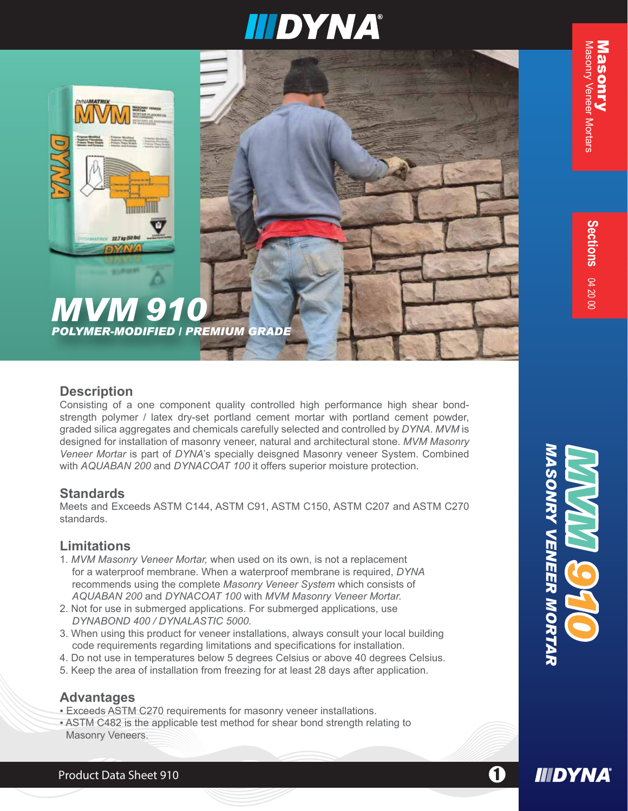

### *MVM 910 POLYMER-MODIFIED / PREMIUM GRADE*

#### **Description**

Consisting of a one component quality controlled high performance high shear bondstrength polymer / latex dry-set portland cement mortar with portland cement powder, graded silica aggregates and chemicals carefully selected and controlled by *DYNA*. *MVM* is designed for installation of masonry veneer, natural and architectural stone. *MVM Masonry Veneer Mortar* is part of *DYNA*'s specially deisgned Masonry veneer System. Combined with *AQUABAN 200* and *DYNACOAT 100* it offers superior moisture protection.

#### **Standards**

Meets and Exceeds ASTM C144, ASTM C91, ASTM C150, ASTM C207 and ASTM C270 standards.

#### **Limitations**

- 1. *MVM Masonry Veneer Mortar,* when used on its own, is not a replacement for a waterproof membrane. When a waterproof membrane is required, *DYNA* recommends using the complete *Masonry Veneer System* which consists of *AQUABAN 200* and *DYNACOAT 100* with *MVM Masonry Veneer Mortar.*
- 2. Not for use in submerged applications. For submerged applications, use *DYNABOND 400 / DYNALASTIC 5000.*
- 3. When using this product for veneer installations, always consult your local building code requirements regarding limitations and specifications for installation.
- 4. Do not use in temperatures below 5 degrees Celsius or above 40 degrees Celsius.
- 5. Keep the area of installation from freezing for at least 28 days after application.

#### **Advantages**

- **Exceeds ASTM C270 requirements for masonry veneer installations.**
- ASTM C482 is the applicable test method for shear bond strength relating to Masonry Veneers.



**IIIDYNA** 

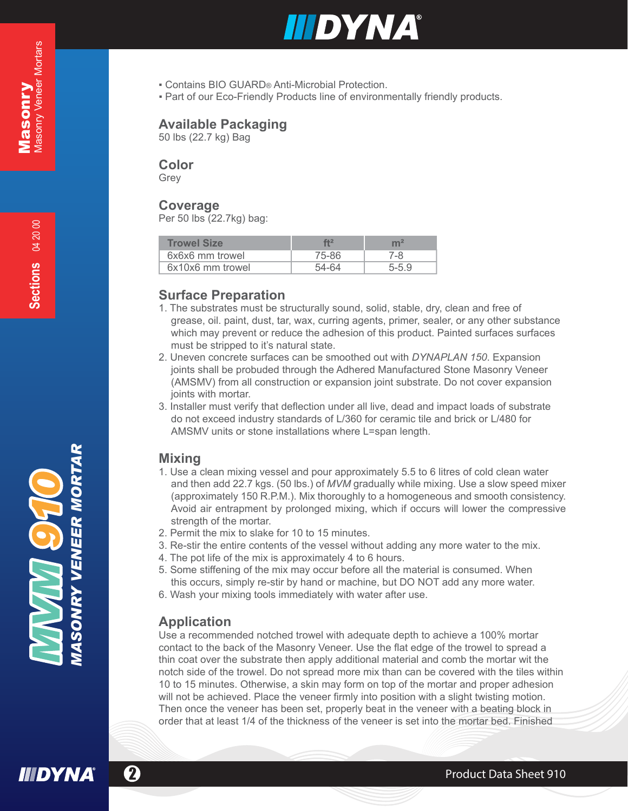

- Contains BIO GUARD® Anti-Microbial Protection.
- **Part of our Eco-Friendly Products line of environmentally friendly products.**

#### **Available Packaging**

50 lbs (22.7 kg) Bag

#### **Color**

Grey

#### **Coverage**

Per 50 lbs (22.7kg) bag:

| <b>Trowel Size</b> | f12   | ${\sf m}^2$ |
|--------------------|-------|-------------|
| 6x6x6 mm trowel    | 75-86 | 7-8         |
| 6x10x6 mm trowel   | 54-64 | 5-59        |

#### **Surface Preparation**

- 1. The substrates must be structurally sound, solid, stable, dry, clean and free of grease, oil. paint, dust, tar, wax, curring agents, primer, sealer, or any other substance which may prevent or reduce the adhesion of this product. Painted surfaces surfaces must be stripped to it's natural state.
- 2. Uneven concrete surfaces can be smoothed out with *DYNAPLAN 150*. Expansion joints shall be probuded through the Adhered Manufactured Stone Masonry Veneer (AMSMV) from all construction or expansion joint substrate. Do not cover expansion joints with mortar.
- 3. Installer must verify that deflection under all live, dead and impact loads of substrate do not exceed industry standards of L/360 for ceramic tile and brick or L/480 for AMSMV units or stone installations where L=span length.

#### **Mixing**

- 1. Use a clean mixing vessel and pour approximately 5.5 to 6 litres of cold clean water and then add 22.7 kgs. (50 lbs.) of *MVM* gradually while mixing. Use a slow speed mixer (approximately 150 R.P.M.). Mix thoroughly to a homogeneous and smooth consistency. Avoid air entrapment by prolonged mixing, which if occurs will lower the compressive strength of the mortar.
- 2. Permit the mix to slake for 10 to 15 minutes.
- 3. Re-stir the entire contents of the vessel without adding any more water to the mix.
- 4. The pot life of the mix is approximately 4 to 6 hours.
- 5. Some stiffening of the mix may occur before all the material is consumed. When this occurs, simply re-stir by hand or machine, but DO NOT add any more water.
- 6. Wash your mixing tools immediately with water after use.

#### **Application**

Use a recommended notched trowel with adequate depth to achieve a 100% mortar contact to the back of the Masonry Veneer. Use the flat edge of the trowel to spread a thin coat over the substrate then apply additional material and comb the mortar wit the notch side of the trowel. Do not spread more mix than can be covered with the tiles within 10 to 15 minutes. Otherwise, a skin may form on top of the mortar and proper adhesion will not be achieved. Place the veneer firmly into position with a slight twisting motion. Then once the veneer has been set, properly beat in the veneer with a beating block in order that at least 1/4 of the thickness of the veneer is set into the mortar bed. Finished



*MASONRY VENEER MORTAR* **SONRY VENEER MORT** 

 $\Omega$  Product Data Sheet 910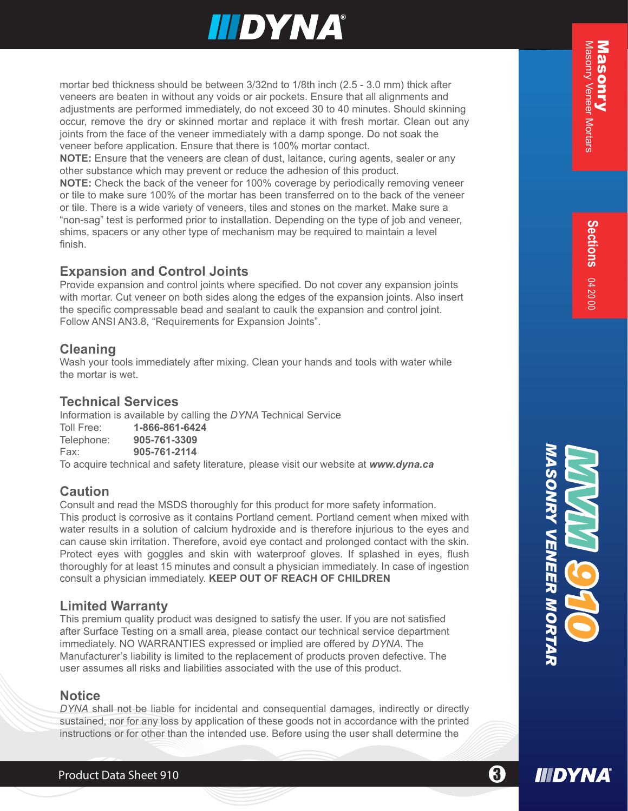# **IIIDYNA®**

veneers are beaten in without any voids or air pockets. Ensure that all alignments and adjustments are performed immediately, do not exceed 30 to 40 minutes. Should skinning occur, remove the dry or skinned mortar and replace it with fresh mortar. Clean out any joints from the face of the veneer immediately with a damp sponge. Do not soak the veneer before application. Ensure that there is 100% mortar contact.

**NOTE:** Ensure that the veneers are clean of dust, laitance, curing agents, sealer or any other substance which may prevent or reduce the adhesion of this product.

**NOTE:** Check the back of the veneer for 100% coverage by periodically removing veneer or tile to make sure 100% of the mortar has been transferred on to the back of the veneer or tile. There is a wide variety of veneers, tiles and stones on the market. Make sure a "non-sag" test is performed prior to installation. Depending on the type of job and veneer, shims, spacers or any other type of mechanism may be required to maintain a level finish.

#### **Expansion and Control Joints**

Provide expansion and control joints where specified. Do not cover any expansion joints with mortar. Cut veneer on both sides along the edges of the expansion joints. Also insert the specific compressable bead and sealant to caulk the expansion and control joint. Follow ANSI AN3.8, "Requirements for Expansion Joints".

#### **Cleaning**

Wash your tools immediately after mixing. Clean your hands and tools with water while the mortar is wet.

#### **Technical Services**

Information is available by calling the *DYNA* Technical Service Toll Free: **1-866-861-6424** Telephone: Fax: **905-761-2114** To acquire technical and safety literature, please visit our website at *www.dyna.ca*

#### **Caution**

motive bed the choice of the between 32nd to 1/8th inch (2.5 - 3.0 mm) thick after<br>horizontar bed thickness should be between 3/32nd to 1/8th inch (2.5 - 3.0 mm) thick after<br>adjoint mean on the forest interest investigativ Consult and read the MSDS thoroughly for this product for more safety information. This product is corrosive as it contains Portland cement. Portland cement when mixed with water results in a solution of calcium hydroxide and is therefore injurious to the eyes and can cause skin irritation. Therefore, avoid eye contact and prolonged contact with the skin. Protect eyes with goggles and skin with waterproof gloves. If splashed in eyes, flush thoroughly for at least 15 minutes and consult a physician immediately. In case of ingestion consult a physician immediately. **KEEP OUT OF REACH OF CHILDREN**

#### **Limited Warranty**

This premium quality product was designed to satisfy the user. If you are not satisfied after Surface Testing on a small area, please contact our technical service department immediately. NO WARRANTIES expressed or implied are offered by *DYNA*. The Manufacturer's liability is limited to the replacement of products proven defective. The user assumes all risks and liabilities associated with the use of this product.

#### **Notice**

*DYNA* shall not be liable for incidental and consequential damages, indirectly or directly sustained, nor for any loss by application of these goods not in accordance with the printed instructions or for other than the intended use. Before using the user shall determine the



8